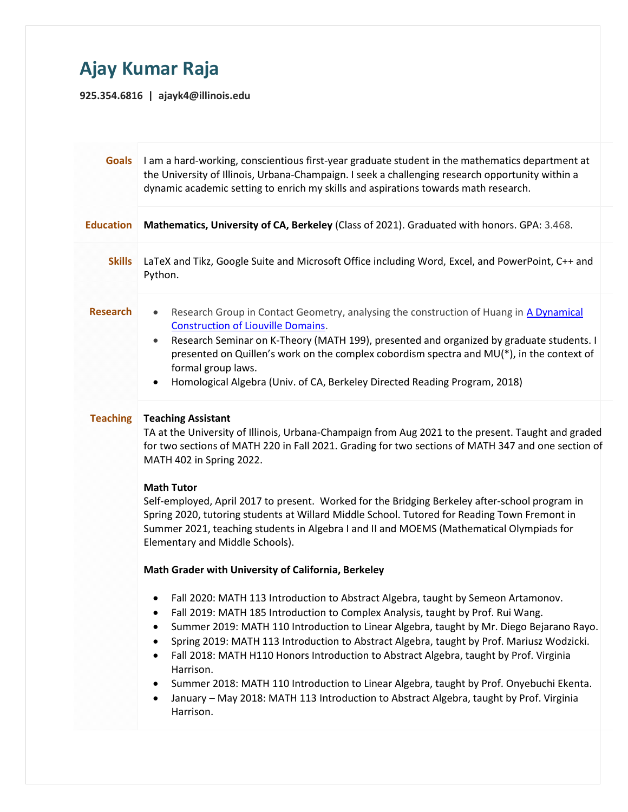## Ajay Kumar Raja

925.354.6816 | ajayk4@illinois.edu

| <b>Goals</b>     | I am a hard-working, conscientious first-year graduate student in the mathematics department at<br>the University of Illinois, Urbana-Champaign. I seek a challenging research opportunity within a<br>dynamic academic setting to enrich my skills and aspirations towards math research.                                                                                                                                                                                                                                                                                                                                                                                                             |  |
|------------------|--------------------------------------------------------------------------------------------------------------------------------------------------------------------------------------------------------------------------------------------------------------------------------------------------------------------------------------------------------------------------------------------------------------------------------------------------------------------------------------------------------------------------------------------------------------------------------------------------------------------------------------------------------------------------------------------------------|--|
| <b>Education</b> | Mathematics, University of CA, Berkeley (Class of 2021). Graduated with honors. GPA: 3.468.                                                                                                                                                                                                                                                                                                                                                                                                                                                                                                                                                                                                            |  |
| <b>Skills</b>    | LaTeX and Tikz, Google Suite and Microsoft Office including Word, Excel, and PowerPoint, C++ and<br>Python.                                                                                                                                                                                                                                                                                                                                                                                                                                                                                                                                                                                            |  |
| <b>Research</b>  | Research Group in Contact Geometry, analysing the construction of Huang in A Dynamical<br>$\bullet$<br><b>Construction of Liouville Domains.</b><br>Research Seminar on K-Theory (MATH 199), presented and organized by graduate students. I<br>$\bullet$<br>presented on Quillen's work on the complex cobordism spectra and MU(*), in the context of<br>formal group laws.<br>Homological Algebra (Univ. of CA, Berkeley Directed Reading Program, 2018)<br>$\bullet$                                                                                                                                                                                                                                |  |
| <b>Teaching</b>  | <b>Teaching Assistant</b><br>TA at the University of Illinois, Urbana-Champaign from Aug 2021 to the present. Taught and graded<br>for two sections of MATH 220 in Fall 2021. Grading for two sections of MATH 347 and one section of<br>MATH 402 in Spring 2022.<br><b>Math Tutor</b><br>Self-employed, April 2017 to present. Worked for the Bridging Berkeley after-school program in<br>Spring 2020, tutoring students at Willard Middle School. Tutored for Reading Town Fremont in<br>Summer 2021, teaching students in Algebra I and II and MOEMS (Mathematical Olympiads for<br>Elementary and Middle Schools).<br>Math Grader with University of California, Berkeley                         |  |
|                  | Fall 2020: MATH 113 Introduction to Abstract Algebra, taught by Semeon Artamonov.<br>٠<br>Fall 2019: MATH 185 Introduction to Complex Analysis, taught by Prof. Rui Wang.<br>$\bullet$<br>Summer 2019: MATH 110 Introduction to Linear Algebra, taught by Mr. Diego Bejarano Rayo.<br>Spring 2019: MATH 113 Introduction to Abstract Algebra, taught by Prof. Mariusz Wodzicki.<br>Fall 2018: MATH H110 Honors Introduction to Abstract Algebra, taught by Prof. Virginia<br>$\bullet$<br>Harrison.<br>Summer 2018: MATH 110 Introduction to Linear Algebra, taught by Prof. Onyebuchi Ekenta.<br>January - May 2018: MATH 113 Introduction to Abstract Algebra, taught by Prof. Virginia<br>Harrison. |  |
|                  |                                                                                                                                                                                                                                                                                                                                                                                                                                                                                                                                                                                                                                                                                                        |  |